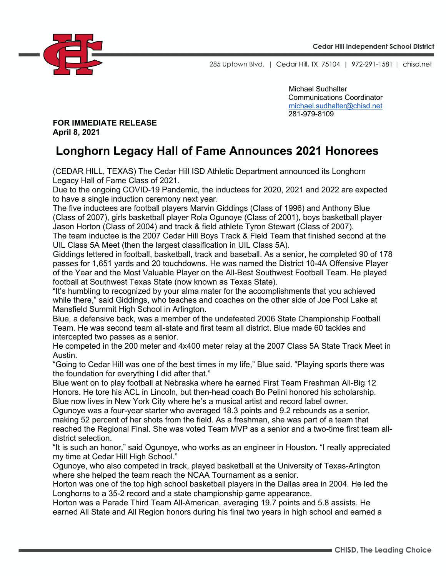

285 Uptown Blvd. | Cedar Hill, TX 75104 | 972-291-1581 | chisd.net

Michael Sudhalter Communications Coordinator michael.sudhalter@chisd.net 281-979-8109

**FOR IMMEDIATE RELEASE April 8, 2021**

## **Longhorn Legacy Hall of Fame Announces 2021 Honorees**

(CEDAR HILL, TEXAS) The Cedar Hill ISD Athletic Department announced its Longhorn Legacy Hall of Fame Class of 2021.

Due to the ongoing COVID-19 Pandemic, the inductees for 2020, 2021 and 2022 are expected to have a single induction ceremony next year.

The five inductees are football players Marvin Giddings (Class of 1996) and Anthony Blue (Class of 2007), girls basketball player Rola Ogunoye (Class of 2001), boys basketball player Jason Horton (Class of 2004) and track & field athlete Tyron Stewart (Class of 2007).

The team inductee is the 2007 Cedar Hill Boys Track & Field Team that finished second at the UIL Class 5A Meet (then the largest classification in UIL Class 5A).

Giddings lettered in football, basketball, track and baseball. As a senior, he completed 90 of 178 passes for 1,651 yards and 20 touchdowns. He was named the District 10-4A Offensive Player of the Year and the Most Valuable Player on the All-Best Southwest Football Team. He played football at Southwest Texas State (now known as Texas State).

"It's humbling to recognized by your alma mater for the accomplishments that you achieved while there," said Giddings, who teaches and coaches on the other side of Joe Pool Lake at Mansfield Summit High School in Arlington.

Blue, a defensive back, was a member of the undefeated 2006 State Championship Football Team. He was second team all-state and first team all district. Blue made 60 tackles and intercepted two passes as a senior.

He competed in the 200 meter and 4x400 meter relay at the 2007 Class 5A State Track Meet in Austin.

"Going to Cedar Hill was one of the best times in my life," Blue said. "Playing sports there was the foundation for everything I did after that."

Blue went on to play football at Nebraska where he earned First Team Freshman All-Big 12 Honors. He tore his ACL in Lincoln, but then-head coach Bo Pelini honored his scholarship. Blue now lives in New York City where he's a musical artist and record label owner.

Ogunoye was a four-year starter who averaged 18.3 points and 9.2 rebounds as a senior, making 52 percent of her shots from the field. As a freshman, she was part of a team that reached the Regional Final. She was voted Team MVP as a senior and a two-time first team alldistrict selection.

"It is such an honor," said Ogunoye, who works as an engineer in Houston. "I really appreciated my time at Cedar Hill High School."

Ogunoye, who also competed in track, played basketball at the University of Texas-Arlington where she helped the team reach the NCAA Tournament as a senior.

Horton was one of the top high school basketball players in the Dallas area in 2004. He led the Longhorns to a 35-2 record and a state championship game appearance.

Horton was a Parade Third Team All-American, averaging 19.7 points and 5.8 assists. He earned All State and All Region honors during his final two years in high school and earned a